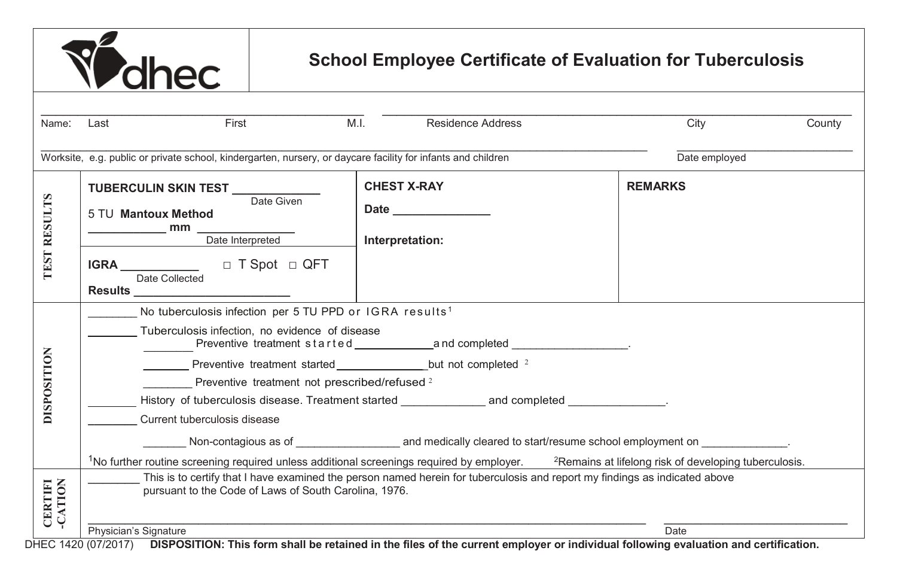

## **School Employee Certificate of Evaluation for Tuberculosis**

| Name:              | First<br>Last                                                                                                                                                                                                                         | M.I.<br><b>Residence Address</b>                                                                                | City<br>County |
|--------------------|---------------------------------------------------------------------------------------------------------------------------------------------------------------------------------------------------------------------------------------|-----------------------------------------------------------------------------------------------------------------|----------------|
|                    |                                                                                                                                                                                                                                       |                                                                                                                 |                |
|                    | Worksite, e.g. public or private school, kindergarten, nursery, or daycare facility for infants and children<br>Date employed                                                                                                         |                                                                                                                 |                |
| ΓS<br><b>RESUL</b> | <b>TUBERCULIN SKIN TEST</b>                                                                                                                                                                                                           | <b>CHEST X-RAY</b>                                                                                              | <b>REMARKS</b> |
|                    | Date Given                                                                                                                                                                                                                            |                                                                                                                 |                |
|                    | 5 TU Mantoux Method                                                                                                                                                                                                                   | Date and the state of the state of the state of the state of the state of the state of the state of the state o |                |
|                    | mm Date Interpreted                                                                                                                                                                                                                   | Interpretation:                                                                                                 |                |
|                    |                                                                                                                                                                                                                                       |                                                                                                                 |                |
| <b>TEST</b>        | IGRA  □ T Spot □ QFT<br>Date Collected                                                                                                                                                                                                |                                                                                                                 |                |
|                    |                                                                                                                                                                                                                                       |                                                                                                                 |                |
| <b>DISPOSITION</b> | No tuberculosis infection per 5 TU PPD or IGRA results <sup>1</sup>                                                                                                                                                                   |                                                                                                                 |                |
|                    | Tuberculosis infection, no evidence of disease                                                                                                                                                                                        |                                                                                                                 |                |
|                    | _______ Preventive treatment started _____________________but not completed 2                                                                                                                                                         |                                                                                                                 |                |
|                    | Preventive treatment not prescribed/refused 2                                                                                                                                                                                         |                                                                                                                 |                |
|                    | History of tuberculosis disease. Treatment started and completed and completed                                                                                                                                                        |                                                                                                                 |                |
|                    | Current tuberculosis disease                                                                                                                                                                                                          |                                                                                                                 |                |
|                    |                                                                                                                                                                                                                                       |                                                                                                                 |                |
|                    | <sup>1</sup> No further routine screening required unless additional screenings required by employer. <sup>2</sup> Remains at lifelong risk of developing tuberculosis.                                                               |                                                                                                                 |                |
| CERTIFI            | This is to certify that I have examined the person named herein for tuberculosis and report my findings as indicated above<br><b>CATION</b><br>pursuant to the Code of Laws of South Carolina, 1976.<br>Physician's Signature<br>Date |                                                                                                                 |                |
|                    |                                                                                                                                                                                                                                       |                                                                                                                 |                |

DHEC 1420 (07/2017) **DISPOSITION: This form shall be retained in the files of the current employer or individual following evaluation and certification.**